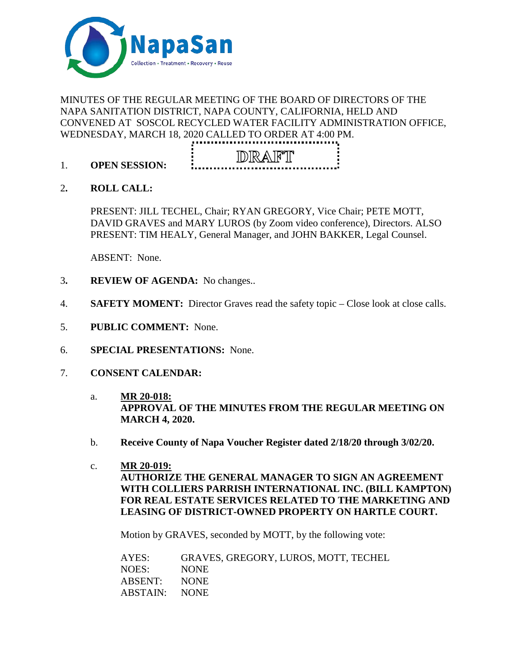

# MINUTES OF THE REGULAR MEETING OF THE BOARD OF DIRECTORS OF THE NAPA SANITATION DISTRICT, NAPA COUNTY, CALIFORNIA, HELD AND CONVENED AT SOSCOL RECYCLED WATER FACILITY ADMINISTRATION OFFICE, WEDNESDAY, MARCH 18, 2020 CALLED TO ORDER AT 4:00 PM.



- 1. **OPEN SESSION:**
- 2**. ROLL CALL:**

PRESENT: JILL TECHEL, Chair; RYAN GREGORY, Vice Chair; PETE MOTT, DAVID GRAVES and MARY LUROS (by Zoom video conference), Directors. ALSO PRESENT: TIM HEALY, General Manager, and JOHN BAKKER, Legal Counsel.

ABSENT: None.

- 3**. REVIEW OF AGENDA:** No changes..
- 4. **SAFETY MOMENT:** Director Graves read the safety topic Close look at close calls.
- 5. **PUBLIC COMMENT:** None.
- 6. **SPECIAL PRESENTATIONS:** None.
- 7. **CONSENT CALENDAR:**
	- a. **MR 20-018: APPROVAL OF THE MINUTES FROM THE REGULAR MEETING ON MARCH 4, 2020.**
	- b. **Receive County of Napa Voucher Register dated 2/18/20 through 3/02/20.**
	- c. **MR 20-019: AUTHORIZE THE GENERAL MANAGER TO SIGN AN AGREEMENT WITH COLLIERS PARRISH INTERNATIONAL INC. (BILL KAMPTON) FOR REAL ESTATE SERVICES RELATED TO THE MARKETING AND LEASING OF DISTRICT-OWNED PROPERTY ON HARTLE COURT.**

Motion by GRAVES, seconded by MOTT, by the following vote:

| GRAVES, GREGORY, LUROS, MOTT, TECHEL |
|--------------------------------------|
|                                      |
|                                      |
|                                      |
|                                      |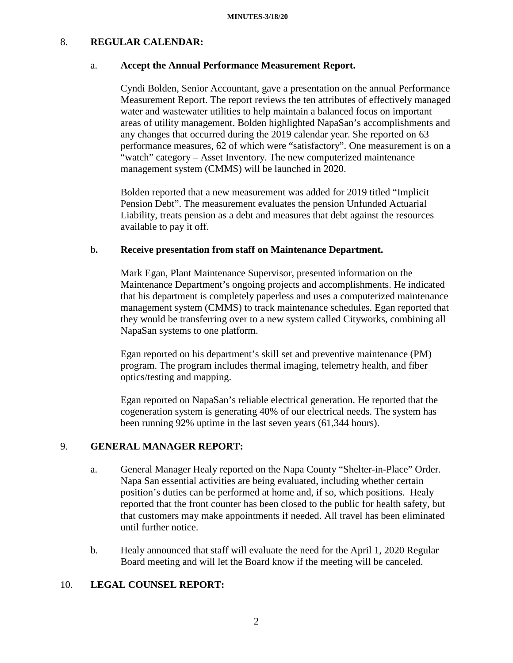**MINUTES-3/18/20**

## 8. **REGULAR CALENDAR:**

### a. **Accept the Annual Performance Measurement Report.**

Cyndi Bolden, Senior Accountant, gave a presentation on the annual Performance Measurement Report. The report reviews the ten attributes of effectively managed water and wastewater utilities to help maintain a balanced focus on important areas of utility management. Bolden highlighted NapaSan's accomplishments and any changes that occurred during the 2019 calendar year. She reported on 63 performance measures, 62 of which were "satisfactory". One measurement is on a "watch" category – Asset Inventory. The new computerized maintenance management system (CMMS) will be launched in 2020.

Bolden reported that a new measurement was added for 2019 titled "Implicit Pension Debt". The measurement evaluates the pension Unfunded Actuarial Liability, treats pension as a debt and measures that debt against the resources available to pay it off.

#### b**. Receive presentation from staff on Maintenance Department.**

Mark Egan, Plant Maintenance Supervisor, presented information on the Maintenance Department's ongoing projects and accomplishments. He indicated that his department is completely paperless and uses a computerized maintenance management system (CMMS) to track maintenance schedules. Egan reported that they would be transferring over to a new system called Cityworks, combining all NapaSan systems to one platform.

Egan reported on his department's skill set and preventive maintenance (PM) program. The program includes thermal imaging, telemetry health, and fiber optics/testing and mapping.

Egan reported on NapaSan's reliable electrical generation. He reported that the cogeneration system is generating 40% of our electrical needs. The system has been running 92% uptime in the last seven years (61,344 hours).

#### 9. **GENERAL MANAGER REPORT:**

- a. General Manager Healy reported on the Napa County "Shelter-in-Place" Order. Napa San essential activities are being evaluated, including whether certain position's duties can be performed at home and, if so, which positions. Healy reported that the front counter has been closed to the public for health safety, but that customers may make appointments if needed. All travel has been eliminated until further notice.
- b. Healy announced that staff will evaluate the need for the April 1, 2020 Regular Board meeting and will let the Board know if the meeting will be canceled.

## 10. **LEGAL COUNSEL REPORT:**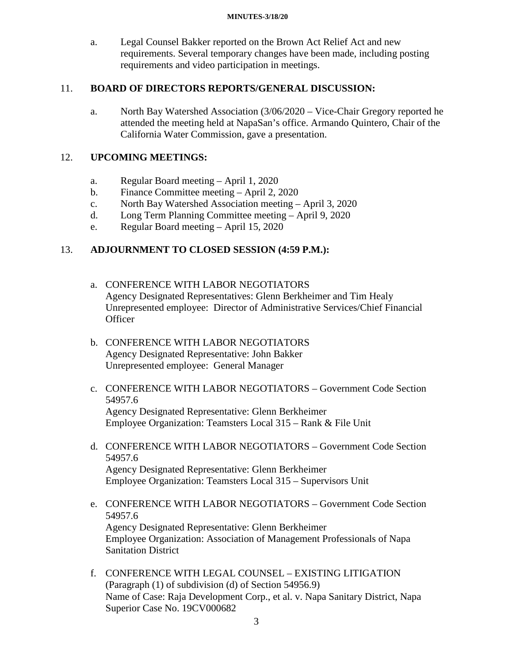#### **MINUTES-3/18/20**

a. Legal Counsel Bakker reported on the Brown Act Relief Act and new requirements. Several temporary changes have been made, including posting requirements and video participation in meetings.

### 11. **BOARD OF DIRECTORS REPORTS/GENERAL DISCUSSION:**

a. North Bay Watershed Association (3/06/2020 – Vice-Chair Gregory reported he attended the meeting held at NapaSan's office. Armando Quintero, Chair of the California Water Commission, gave a presentation.

## 12. **UPCOMING MEETINGS:**

- a. Regular Board meeting April 1, 2020
- b. Finance Committee meeting April 2, 2020
- c. North Bay Watershed Association meeting April 3, 2020
- d. Long Term Planning Committee meeting April 9, 2020
- e. Regular Board meeting April 15, 2020

## 13. **ADJOURNMENT TO CLOSED SESSION (4:59 P.M.):**

- a. CONFERENCE WITH LABOR NEGOTIATORS Agency Designated Representatives: Glenn Berkheimer and Tim Healy Unrepresented employee: Director of Administrative Services/Chief Financial **Officer**
- b. CONFERENCE WITH LABOR NEGOTIATORS Agency Designated Representative: John Bakker Unrepresented employee: General Manager
- c. CONFERENCE WITH LABOR NEGOTIATORS Government Code Section 54957.6 Agency Designated Representative: Glenn Berkheimer Employee Organization: Teamsters Local 315 – Rank & File Unit
- d. CONFERENCE WITH LABOR NEGOTIATORS Government Code Section 54957.6 Agency Designated Representative: Glenn Berkheimer Employee Organization: Teamsters Local 315 – Supervisors Unit
- e. CONFERENCE WITH LABOR NEGOTIATORS Government Code Section 54957.6 Agency Designated Representative: Glenn Berkheimer Employee Organization: Association of Management Professionals of Napa Sanitation District
- f. CONFERENCE WITH LEGAL COUNSEL EXISTING LITIGATION (Paragraph (1) of subdivision (d) of Section 54956.9) Name of Case: Raja Development Corp., et al. v. Napa Sanitary District, Napa Superior Case No. 19CV000682